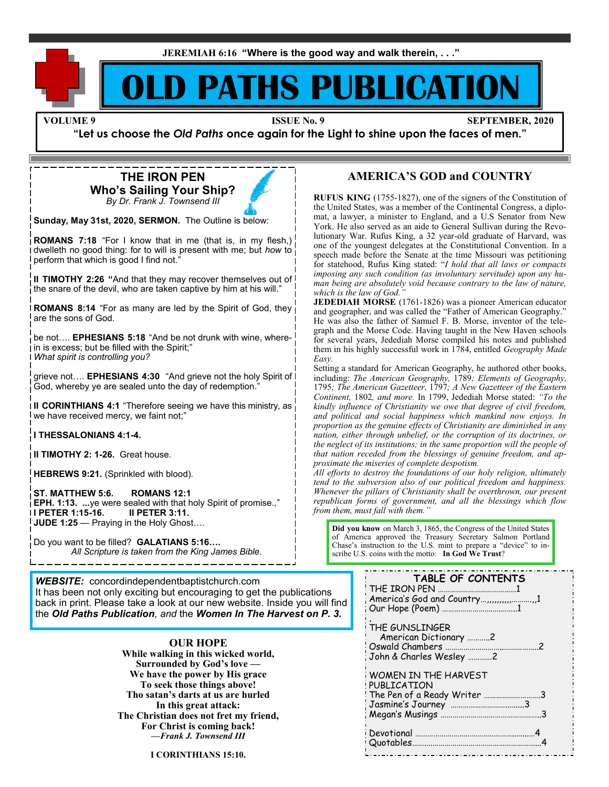**JEREMIAH 6:16 "Where is the good way and walk therein, . . ."**

## **D PATHS PUBLICATION**

**VOLUME 9 ISSUE No. 9 ISSUE No. 9 SEPTEMBER, 2020** 

**"Let us choose the** *Old Paths* **once again for the Light to shine upon the faces of men."**

**THE IRON PEN Who's Sailing Your Ship?** *By Dr. Frank J. Townsend III*

**Sunday, May 31st, 2020, SERMON.** The Outline is below:

**ROMANS 7:18** "For I know that in me (that is, in my flesh,) dwelleth no good thing: for to will is present with me; but *how* to perform that which is good I find not."

**II TIMOTHY 2:26 "**And that they may recover themselves out of the snare of the devil, who are taken captive by him at his will."

**ROMANS 8:14** "For as many are led by the Spirit of God, they are the sons of God.

be not…. **EPHESIANS 5:18** "And be not drunk with wine, wherein is excess; but be filled with the Spirit;" *What spirit is controlling you?*

grieve not…. **EPHESIANS 4:30** "And grieve not the holy Spirit of God, whereby ye are sealed unto the day of redemption."

**II CORINTHIANS 4:1** "Therefore seeing we have this ministry, as we have received mercy, we faint not;"

**I THESSALONIANS 4:1-4.**

**II TIMOTHY 2: 1-26.** Great house.

**HEBREWS 9:21.** (Sprinkled with blood).

**ST. MATTHEW 5:6. ROMANS 12:1 EPH. 1:13. ...**ye were sealed with that holy Spirit of promise.," **I PETER 1:15-16. II PETER 3:11. JUDE 1:25** — Praying in the Holy Ghost….

Do you want to be filled? **GALATIANS 5:16….**  *All Scripture is taken from the King James Bible.*

*WEBSITE:* concordindependentbaptistchurch.com It has been not only exciting but encouraging to get the publications back in print. Please take a look at our new website. Inside you will find the *Old Paths Publication, and* the *Women In The Harvest on P. 3.*

#### **OUR HOPE**

**While walking in this wicked world, Surrounded by God's love — We have the power by His grace To seek those things above! Tho satan's darts at us are hurled In this great attack: The Christian does not fret my friend, For Christ is coming back!** *—Frank J. Townsend III*

**I CORINTHIANS 15:10.**

#### **AMERICA'S GOD and COUNTRY**

**RUFUS KING** (1755-1827), one of the signers of the Constitution of the United States, was a member of the Continental Congress, a diplomat, a lawyer, a minister to England, and a U.S Senator from New York. He also served as an aide to General Sullivan during the Revolutionary War. Rufus King, a 32 year-old graduate of Harvard, was one of the youngest delegates at the Constitutional Convention. In a speech made before the Senate at the time Missouri was petitioning for statehood, Rufus King stated: "*I hold that all laws or compacts imposing any such condition (as involuntary servitude) upon any human being are absolutely void because contrary to the law of nature, which is the law of God."*

**JEDEDIAH MORSE** (1761-1826) was a pioneer American educator and geographer, and was called the "Father of American Geography." He was also the father of Samuel F. B. Morse, inventor of the telegraph and the Morse Code. Having taught in the New Haven schools for several years, Jedediah Morse compiled his notes and published them in his highly successful work in 1784, entitled *Geography Made Easy.*

Setting a standard for American Geography, he authored other books, including: *The American Geography,* 1789*; Elements of Geography,*  1795*; The American Gazetteer,* 1797*; A New Gazetteer of the Eastern Continent,* 1802*, and more.* In 1799, Jedediah Morse stated: *"To the kindly influence of Christianity we owe that degree of civil freedom, and political and social happiness which mankind now enjoys. In proportion as the genuine effects of Christianity are diminished in any nation, either through unbelief, or the corruption of its doctrines, or the neglect of its institutions; in the same proportion will the people of that nation receded from the blessings of genuine freedom, and approximate the miseries of complete despotism.* 

*All efforts to destroy the foundations of our holy religion, ultimately tend to the subversion also of our political freedom and happiness. Whenever the pillars of Christianity shall be overthrown, our present republican forms of government, and all the blessings which flow from them, must fall with them."*

**Did you know** on March 3, 1865, the Congress of the United States of America approved the Treasury Secretary Salmon Portland Chase's instruction to the U.S. mint to prepare a "device" to inscribe U.S. coins with the motto: **In God We Trust**?

| <b>TABLE OF CONTENTS</b><br>THE IRON PEN<br>America's God and Country,,,,,,,,,,,,,1 |
|-------------------------------------------------------------------------------------|
| THE GUNSLINGER<br>American Dictionary 2<br>John & Charles Wesley 2                  |
| WOMEN IN THE HARVEST<br>PUBLICATION<br>The Pen of a Ready Writer                    |
|                                                                                     |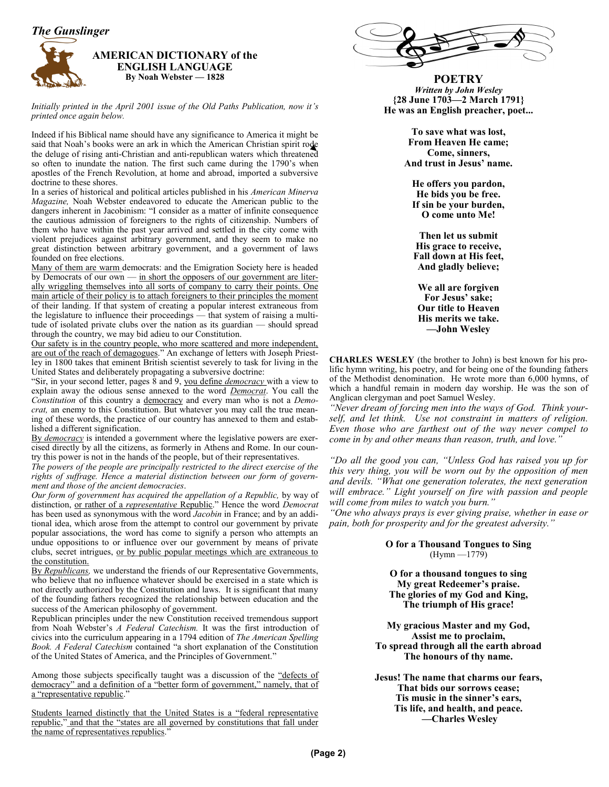

#### **AMERICAN DICTIONARY of the ENGLISH LANGUAGE By Noah Webster — 1828**

*Initially printed in the April 2001 issue of the Old Paths Publication, now it's printed once again below.*

Indeed if his Biblical name should have any significance to America it might be said that Noah's books were an ark in which the American Christian spirit rode the deluge of rising anti-Christian and anti-republican waters which threatened so often to inundate the nation. The first such came during the 1790's when apostles of the French Revolution, at home and abroad, imported a subversive doctrine to these shores.

In a series of historical and political articles published in his *American Minerva Magazine,* Noah Webster endeavored to educate the American public to the dangers inherent in Jacobinism: "I consider as a matter of infinite consequence the cautious admission of foreigners to the rights of citizenship. Numbers of them who have within the past year arrived and settled in the city come with violent prejudices against arbitrary government, and they seem to make no great distinction between arbitrary government, and a government of laws founded on free elections.

Many of them are warm democrats: and the Emigration Society here is headed by Democrats of our own — in short the opposers of our government are literally wriggling themselves into all sorts of company to carry their points. One main article of their policy is to attach foreigners to their principles the moment of their landing. If that system of creating a popular interest extraneous from the legislature to influence their proceedings — that system of raising a multitude of isolated private clubs over the nation as its guardian — should spread through the country, we may bid adieu to our Constitution.

Our safety is in the country people, who more scattered and more independent, are out of the reach of demagogues." An exchange of letters with Joseph Priestley in 1800 takes that eminent British scientist severely to task for living in the United States and deliberately propagating a subversive doctrine:

"Sir, in your second letter, pages 8 and 9, you define *democracy* with a view to explain away the odious sense annexed to the word *Democrat*. You call the *Constitution* of this country a democracy and every man who is not a *Democrat,* an enemy to this Constitution. But whatever you may call the true meaning of these words, the practice of our country has annexed to them and established a different signification.

By *democracy* is intended a government where the legislative powers are exercised directly by all the citizens, as formerly in Athens and Rome. In our country this power is not in the hands of the people, but of their representatives.

*The powers of the people are principally restricted to the direct exercise of the rights of suffrage. Hence a material distinction between our form of government and those of the ancient democracies*.

*Our form of government has acquired the appellation of a Republic, by way of* distinction, or rather of a *representative* Republic." Hence the word *Democrat* has been used as synonymous with the word *Jacobin* in France; and by an additional idea, which arose from the attempt to control our government by private popular associations, the word has come to signify a person who attempts an undue oppositions to or influence over our government by means of private clubs, secret intrigues, or by public popular meetings which are extraneous to the constitution.

By *Republicans,* we understand the friends of our Representative Governments, who believe that no influence whatever should be exercised in a state which is not directly authorized by the Constitution and laws. It is significant that many of the founding fathers recognized the relationship between education and the success of the American philosophy of government.

Republican principles under the new Constitution received tremendous support from Noah Webster's *A Federal Catechism.* It was the first introduction of civics into the curriculum appearing in a 1794 edition of *The American Spelling Book. A Federal Catechism* contained "a short explanation of the Constitution of the United States of America, and the Principles of Government."

Among those subjects specifically taught was a discussion of the "defects of democracy" and a definition of a "better form of government," namely, that of a "representative republic."

Students learned distinctly that the United States is a "federal representative republic," and that the "states are all governed by constitutions that fall under the name of representatives republics."



**POETRY** *Written by John Wesley* **{28 June 1703—2 March 1791} He was an English preacher, poet...**

> **To save what was lost, From Heaven He came; Come, sinners, And trust in Jesus' name.**

**He offers you pardon, He bids you be free. If sin be your burden, O come unto Me!**

**Then let us submit His grace to receive, Fall down at His feet, And gladly believe;**

**We all are forgiven For Jesus' sake; Our title to Heaven His merits we take. —John Wesley**

**CHARLES WESLEY** (the brother to John) is best known for his prolific hymn writing, his poetry, and for being one of the founding fathers of the Methodist denomination. He wrote more than 6,000 hymns, of which a handful remain in modern day worship. He was the son of Anglican clergyman and poet Samuel Wesley.

*"Never dream of forcing men into the ways of God. Think yourself, and let think. Use not constraint in matters of religion. Even those who are farthest out of the way never compel to come in by and other means than reason, truth, and love."*

*"Do all the good you can, "Unless God has raised you up for this very thing, you will be worn out by the opposition of men and devils. "What one generation tolerates, the next generation will embrace." Light yourself on fire with passion and people will come from miles to watch you burn."*

*"One who always prays is ever giving praise, whether in ease or pain, both for prosperity and for the greatest adversity."*

> **O for a Thousand Tongues to Sing**  (Hymn —1779)

**O for a thousand tongues to sing My great Redeemer's praise. The glories of my God and King, The triumph of His grace!**

**My gracious Master and my God, Assist me to proclaim, To spread through all the earth abroad The honours of thy name.**

**Jesus! The name that charms our fears, That bids our sorrows cease; Tis music in the sinner's ears, Tis life, and health, and peace. —Charles Wesley**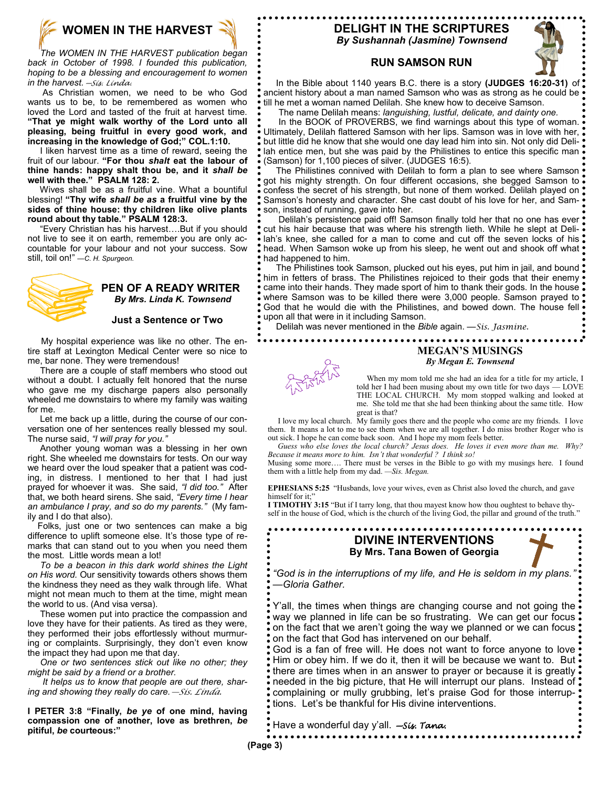

 *The WOMEN IN THE HARVEST publication began back in October of 1998. I founded this publication, hoping to be a blessing and encouragement to women in the harvest.—Sis. Linda.*

As Christian women, we need to be who God wants us to be, to be remembered as women who loved the Lord and tasted of the fruit at harvest time. **"That ye might walk worthy of the Lord unto all pleasing, being fruitful in every good work, and increasing in the knowledge of God;" COL.1:10.**

I liken harvest time as a time of reward, seeing the fruit of our labour. **"For thou** *shalt* **eat the labour of thine hands: happy shalt thou be, and it** *shall be*  **well with thee." PSALM 128: 2.**

Wives shall be as a fruitful vine. What a bountiful blessing! **"Thy wife** *shall be as* **a fruitful vine by the sides of thine house: thy children like olive plants round about thy table." PSALM 128:3.**

"Every Christian has his harvest….But if you should not live to see it on earth, remember you are only accountable for your labour and not your success. Sow still, toil on!" *—C. H. Spurgeon.*



#### **PEN OF A READY WRITER** *By Mrs. Linda K. Townsend*

#### **Just a Sentence or Two**

 My hospital experience was like no other. The entire staff at Lexington Medical Center were so nice to me, bar none. They were tremendous!

 There are a couple of staff members who stood out without a doubt. I actually felt honored that the nurse who gave me my discharge papers also personally wheeled me downstairs to where my family was waiting for me.

 Let me back up a little, during the course of our conversation one of her sentences really blessed my soul. The nurse said, *"I will pray for you."*

 Another young woman was a blessing in her own right. She wheeled me downstairs for tests. On our way we heard over the loud speaker that a patient was coding, in distress. I mentioned to her that I had just prayed for whoever it was. She said, *"I did too."* After that, we both heard sirens. She said, *"Every time I hear an ambulance I pray, and so do my parents."* (My family and I do that also).

 Folks, just one or two sentences can make a big difference to uplift someone else. It's those type of remarks that can stand out to you when you need them the most. Little words mean a lot!

 *To be a beacon in this dark world shines the Light on His word.* Our sensitivity towards others shows them the kindness they need as they walk through life. What might not mean much to them at the time, might mean the world to us. (And visa versa).

 These women put into practice the compassion and love they have for their patients. As tired as they were, they performed their jobs effortlessly without murmuring or complaints. Surprisingly, they don't even know the impact they had upon me that day.

 *One or two sentences stick out like no other; they might be said by a friend or a brother.*

 *It helps us to know that people are out there, sharing and showing they really do care.—Sis. Linda.*

**I PETER 3:8 "Finally,** *be ye* **of one mind, having compassion one of another, love as brethren,** *be* **pitiful,** *be* **courteous:"**

### **DELIGHT IN THE SCRIPTURES** *By Sushannah (Jasmine) Townsend*



#### **RUN SAMSON RUN**

 In the Bible about 1140 years B.C. there is a story **(JUDGES 16:20-31)** of ancient history about a man named Samson who was as strong as he could be till he met a woman named Delilah. She knew how to deceive Samson.

The name Delilah means: *languishing, lustful, delicate, and dainty one.* 

In the BOOK of PROVERBS, we find warnings about this type of woman. Ultimately, Delilah flattered Samson with her lips. Samson was in love with her, but little did he know that she would one day lead him into sin. Not only did Delilah entice men, but she was paid by the Philistines to entice this specific man (Samson) for 1,100 pieces of silver. (JUDGES 16:5).

 The Philistines connived with Delilah to form a plan to see where Samson got his mighty strength. On four different occasions, she begged Samson to confess the secret of his strength, but none of them worked. Delilah played on Samson's honesty and character. She cast doubt of his love for her, and Samson, instead of running, gave into her.

 Delilah's persistence paid off! Samson finally told her that no one has ever cut his hair because that was where his strength lieth. While he slept at Delilah's knee, she called for a man to come and cut off the seven locks of his head. When Samson woke up from his sleep, he went out and shook off what had happened to him.

 The Philistines took Samson, plucked out his eyes, put him in jail, and bound him in fetters of brass. The Philistines rejoiced to their gods that their enemy came into their hands. They made sport of him to thank their gods. In the house where Samson was to be killed there were 3,000 people. Samson prayed to ' God that he would die with the Philistines, and bowed down. The house fell upon all that were in it including Samson.

 Delilah was never mentioned in the *Bible* again. —*Sis. Jasmine.* .................

#### **MEGAN'S MUSINGS** *By Megan E. Townsend*

 When my mom told me she had an idea for a title for my article, I told her I had been musing about my own title for two days — LOVE THE LOCAL CHURCH. My mom stopped walking and looked at me. She told me that she had been thinking about the same title. How great is that?

 I love my local church. My family goes there and the people who come are my friends. I love them. It means a lot to me to see them when we are all together. I do miss brother Roger who is out sick. I hope he can come back soon.And I hope my mom feels better.

 *Guess who else loves the local church? Jesus does. He loves it even more than me. Why? Because it means more to him. Isn't that wonderful ? I think so!*

Musing some more…. There must be verses in the Bible to go with my musings here. I found them with a little help from my dad. *—Sis. Megan.*

**EPHESIANS 5:25** "Husbands, love your wives, even as Christ also loved the church, and gave himself for it:

**I TIMOTHY 3:15** "But if I tarry long, that thou mayest know how thou oughtest to behave thyself in the house of God, which is the church of the living God, the pillar and ground of the truth."

**DIVINE INTERVENTIONS By Mrs. Tana Bowen of Georgia** *"God is in the interruptions of my life, and He is seldom in my plans." —Gloria Gather.* Y'all, the times when things are changing course and not going the way we planned in life can be so frustrating. We can get our focus on the fact that we aren't going the way we planned or we can focus on the fact that God has intervened on our behalf. God is a fan of free will. He does not want to force anyone to love Him or obey him. If we do it, then it will be because we want to. But there are times when in an answer to prayer or because it is greatly needed in the big picture, that He will interrupt our plans. Instead of { complaining or mully grubbing, let's praise God for those interruptions. Let's be thankful for His divine interventions. Have a wonderful day y'all. *—Sis. Tana.*